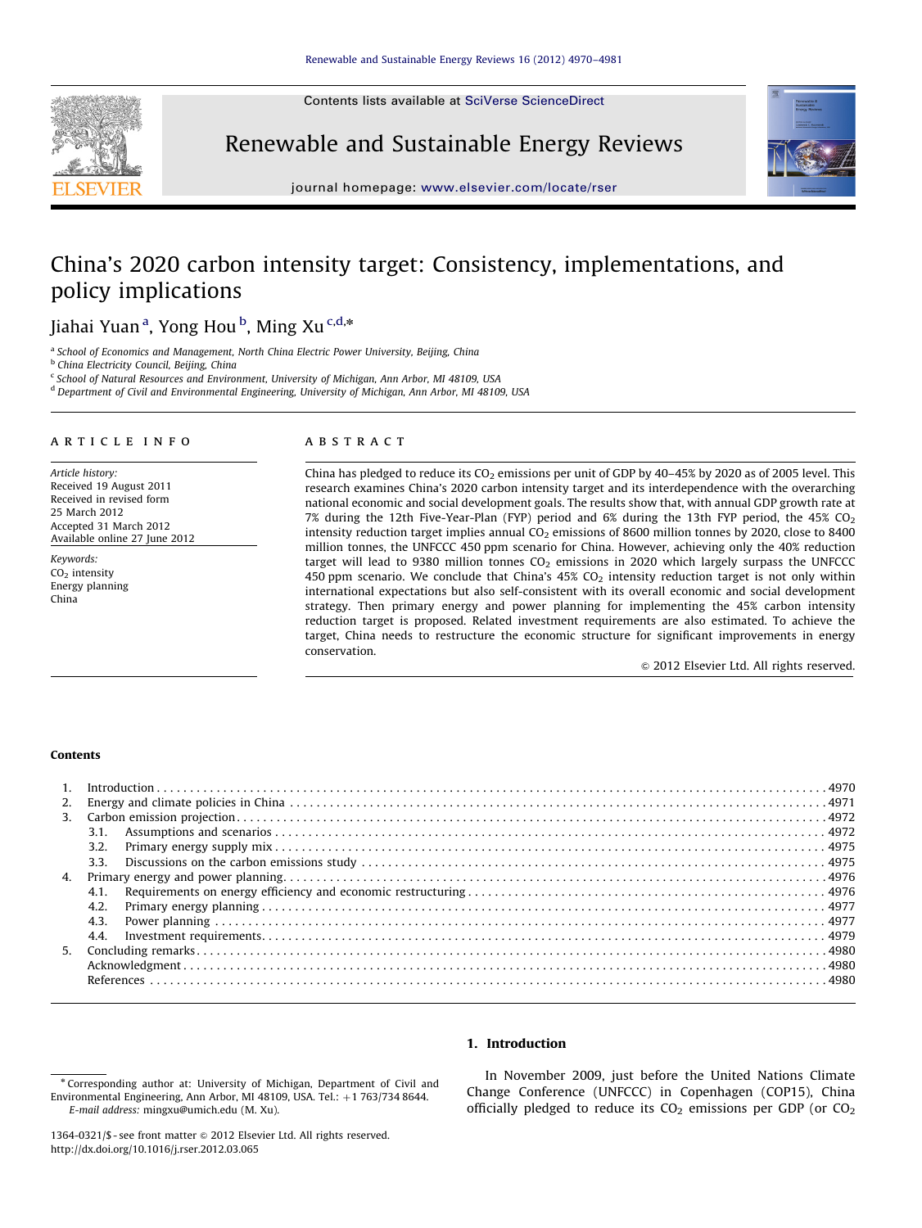Contents lists available at [SciVerse ScienceDirect](www.elsevier.com/locate/rser)



Renewable and Sustainable Energy Reviews



journal homepage: <www.elsevier.com/locate/rser>

# China's 2020 carbon intensity target: Consistency, implementations, and policy implications

## Jiahai Yuan<sup>a</sup>, Yong Hou<sup>b</sup>, Ming Xu<sup>c,d,</sup>\*

<sup>a</sup> School of Economics and Management, North China Electric Power University, Beijing, China

**b** China Electricity Council, Beijing, China

 $c$  School of Natural Resources and Environment, University of Michigan, Ann Arbor, MI 48109, USA

<sup>d</sup> Department of Civil and Environmental Engineering, University of Michigan, Ann Arbor, MI 48109, USA

#### article info

Article history: Received 19 August 2011 Received in revised form 25 March 2012 Accepted 31 March 2012 Available online 27 June 2012

Keywords:  $CO<sub>2</sub>$  intensity Energy planning China

## **ABSTRACT**

China has pledged to reduce its  $CO<sub>2</sub>$  emissions per unit of GDP by 40–45% by 2020 as of 2005 level. This research examines China's 2020 carbon intensity target and its interdependence with the overarching national economic and social development goals. The results show that, with annual GDP growth rate at 7% during the 12th Five-Year-Plan (FYP) period and  $6\%$  during the 13th FYP period, the 45% CO<sub>2</sub> intensity reduction target implies annual  $CO<sub>2</sub>$  emissions of 8600 million tonnes by 2020, close to 8400 million tonnes, the UNFCCC 450 ppm scenario for China. However, achieving only the 40% reduction target will lead to 9380 million tonnes  $CO<sub>2</sub>$  emissions in 2020 which largely surpass the UNFCCC 450 ppm scenario. We conclude that China's  $45\%$  CO<sub>2</sub> intensity reduction target is not only within international expectations but also self-consistent with its overall economic and social development strategy. Then primary energy and power planning for implementing the 45% carbon intensity reduction target is proposed. Related investment requirements are also estimated. To achieve the target, China needs to restructure the economic structure for significant improvements in energy conservation.

 $\odot$  2012 Elsevier Ltd. All rights reserved.

## Contents

| 3.1. |  |
|------|--|
|      |  |
|      |  |
|      |  |
|      |  |
| 4.2. |  |
|      |  |
| 4.4. |  |
|      |  |
|      |  |
|      |  |
|      |  |

## 1. Introduction

In November 2009, just before the United Nations Climate Change Conference (UNFCCC) in Copenhagen (COP15), China officially pledged to reduce its  $CO<sub>2</sub>$  emissions per GDP (or  $CO<sub>2</sub>$ )

<sup>\*</sup> Corresponding author at: University of Michigan, Department of Civil and Environmental Engineering, Ann Arbor, MI 48109, USA. Tel.:  $+1$  763/734 8644. E-mail address: [mingxu@umich.edu \(M. Xu\)](mailto:mingxu@umich.edu).

<sup>1364-0321/\$ -</sup> see front matter @ 2012 Elsevier Ltd. All rights reserved. [http://dx.doi.org/10.1016/j.rser.2012.03.065](dx.doi.org/10.1016/j.rser.2012.03.065)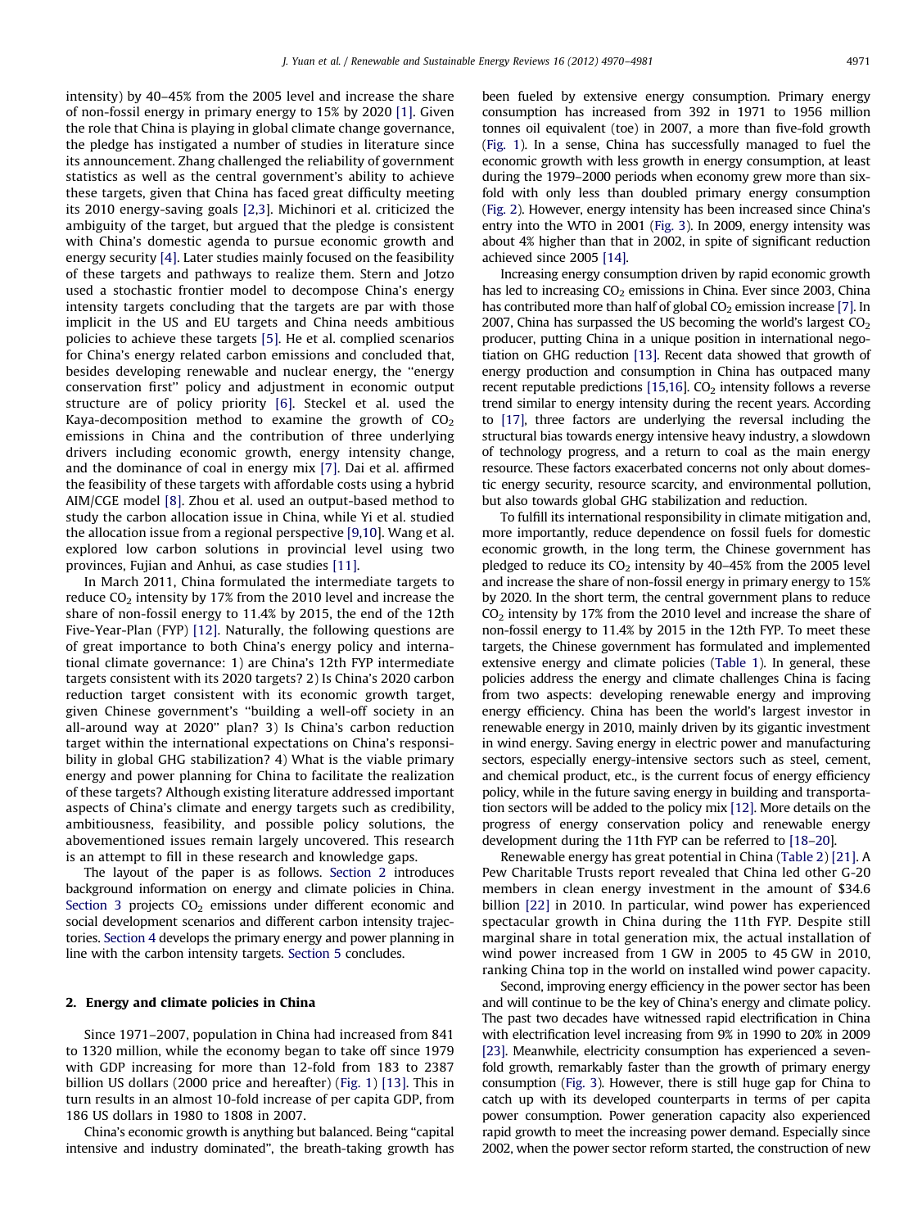intensity) by 40–45% from the 2005 level and increase the share of non-fossil energy in primary energy to 15% by 2020 [\[1\].](#page-10-0) Given the role that China is playing in global climate change governance, the pledge has instigated a number of studies in literature since its announcement. Zhang challenged the reliability of government statistics as well as the central government's ability to achieve these targets, given that China has faced great difficulty meeting its 2010 energy-saving goals [\[2,3\]](#page-10-0). Michinori et al. criticized the ambiguity of the target, but argued that the pledge is consistent with China's domestic agenda to pursue economic growth and energy security [\[4\]](#page-10-0). Later studies mainly focused on the feasibility of these targets and pathways to realize them. Stern and Jotzo used a stochastic frontier model to decompose China's energy intensity targets concluding that the targets are par with those implicit in the US and EU targets and China needs ambitious policies to achieve these targets [\[5\].](#page-10-0) He et al. complied scenarios for China's energy related carbon emissions and concluded that, besides developing renewable and nuclear energy, the ''energy conservation first'' policy and adjustment in economic output structure are of policy priority [\[6\].](#page-10-0) Steckel et al. used the Kaya-decomposition method to examine the growth of  $CO<sub>2</sub>$ emissions in China and the contribution of three underlying drivers including economic growth, energy intensity change, and the dominance of coal in energy mix [\[7\].](#page-10-0) Dai et al. affirmed the feasibility of these targets with affordable costs using a hybrid AIM/CGE model [\[8\]](#page-10-0). Zhou et al. used an output-based method to study the carbon allocation issue in China, while Yi et al. studied the allocation issue from a regional perspective [\[9,10\]](#page-10-0). Wang et al. explored low carbon solutions in provincial level using two provinces, Fujian and Anhui, as case studies [\[11\].](#page-10-0)

In March 2011, China formulated the intermediate targets to reduce  $CO<sub>2</sub>$  intensity by 17% from the 2010 level and increase the share of non-fossil energy to 11.4% by 2015, the end of the 12th Five-Year-Plan (FYP) [\[12\]](#page-10-0). Naturally, the following questions are of great importance to both China's energy policy and international climate governance: 1) are China's 12th FYP intermediate targets consistent with its 2020 targets? 2) Is China's 2020 carbon reduction target consistent with its economic growth target, given Chinese government's ''building a well-off society in an all-around way at 2020'' plan? 3) Is China's carbon reduction target within the international expectations on China's responsibility in global GHG stabilization? 4) What is the viable primary energy and power planning for China to facilitate the realization of these targets? Although existing literature addressed important aspects of China's climate and energy targets such as credibility, ambitiousness, feasibility, and possible policy solutions, the abovementioned issues remain largely uncovered. This research is an attempt to fill in these research and knowledge gaps.

The layout of the paper is as follows. Section 2 introduces background information on energy and climate policies in China. [Section 3](#page-2-0) projects CO<sub>2</sub> emissions under different economic and social development scenarios and different carbon intensity trajectories. [Section 4](#page-6-0) develops the primary energy and power planning in line with the carbon intensity targets. [Section 5](#page-10-0) concludes.

## 2. Energy and climate policies in China

Since 1971–2007, population in China had increased from 841 to 1320 million, while the economy began to take off since 1979 with GDP increasing for more than 12-fold from 183 to 2387 billion US dollars (2000 price and hereafter) ([Fig. 1\)](#page-2-0) [\[13\]](#page-10-0). This in turn results in an almost 10-fold increase of per capita GDP, from 186 US dollars in 1980 to 1808 in 2007.

China's economic growth is anything but balanced. Being ''capital intensive and industry dominated'', the breath-taking growth has been fueled by extensive energy consumption. Primary energy consumption has increased from 392 in 1971 to 1956 million tonnes oil equivalent (toe) in 2007, a more than five-fold growth [\(Fig. 1](#page-2-0)). In a sense, China has successfully managed to fuel the economic growth with less growth in energy consumption, at least during the 1979–2000 periods when economy grew more than sixfold with only less than doubled primary energy consumption [\(Fig. 2](#page-3-0)). However, energy intensity has been increased since China's entry into the WTO in 2001 [\(Fig. 3](#page-3-0)). In 2009, energy intensity was about 4% higher than that in 2002, in spite of significant reduction achieved since 2005 [\[14\].](#page-10-0)

Increasing energy consumption driven by rapid economic growth has led to increasing  $CO<sub>2</sub>$  emissions in China. Ever since 2003, China has contributed more than half of global  $CO<sub>2</sub>$  emission increase [\[7\]](#page-10-0). In 2007, China has surpassed the US becoming the world's largest  $CO<sub>2</sub>$ producer, putting China in a unique position in international negotiation on GHG reduction [\[13\]](#page-10-0). Recent data showed that growth of energy production and consumption in China has outpaced many recent reputable predictions [\[15,16](#page-11-0)].  $CO<sub>2</sub>$  intensity follows a reverse trend similar to energy intensity during the recent years. According to [\[17\],](#page-11-0) three factors are underlying the reversal including the structural bias towards energy intensive heavy industry, a slowdown of technology progress, and a return to coal as the main energy resource. These factors exacerbated concerns not only about domestic energy security, resource scarcity, and environmental pollution, but also towards global GHG stabilization and reduction.

To fulfill its international responsibility in climate mitigation and, more importantly, reduce dependence on fossil fuels for domestic economic growth, in the long term, the Chinese government has pledged to reduce its  $CO<sub>2</sub>$  intensity by 40-45% from the 2005 level and increase the share of non-fossil energy in primary energy to 15% by 2020. In the short term, the central government plans to reduce  $CO<sub>2</sub>$  intensity by 17% from the 2010 level and increase the share of non-fossil energy to 11.4% by 2015 in the 12th FYP. To meet these targets, the Chinese government has formulated and implemented extensive energy and climate policies [\(Table 1\)](#page-4-0). In general, these policies address the energy and climate challenges China is facing from two aspects: developing renewable energy and improving energy efficiency. China has been the world's largest investor in renewable energy in 2010, mainly driven by its gigantic investment in wind energy. Saving energy in electric power and manufacturing sectors, especially energy-intensive sectors such as steel, cement, and chemical product, etc., is the current focus of energy efficiency policy, while in the future saving energy in building and transportation sectors will be added to the policy mix [\[12\]](#page-10-0). More details on the progress of energy conservation policy and renewable energy development during the 11th FYP can be referred to [\[18–20](#page-11-0)].

Renewable energy has great potential in China ([Table 2](#page-4-0)) [\[21\]](#page-11-0). A Pew Charitable Trusts report revealed that China led other G-20 members in clean energy investment in the amount of \$34.6 billion [\[22\]](#page-11-0) in 2010. In particular, wind power has experienced spectacular growth in China during the 11th FYP. Despite still marginal share in total generation mix, the actual installation of wind power increased from 1 GW in 2005 to 45 GW in 2010, ranking China top in the world on installed wind power capacity.

Second, improving energy efficiency in the power sector has been and will continue to be the key of China's energy and climate policy. The past two decades have witnessed rapid electrification in China with electrification level increasing from 9% in 1990 to 20% in 2009 [\[23\]](#page-11-0). Meanwhile, electricity consumption has experienced a sevenfold growth, remarkably faster than the growth of primary energy consumption ([Fig. 3\)](#page-3-0). However, there is still huge gap for China to catch up with its developed counterparts in terms of per capita power consumption. Power generation capacity also experienced rapid growth to meet the increasing power demand. Especially since 2002, when the power sector reform started, the construction of new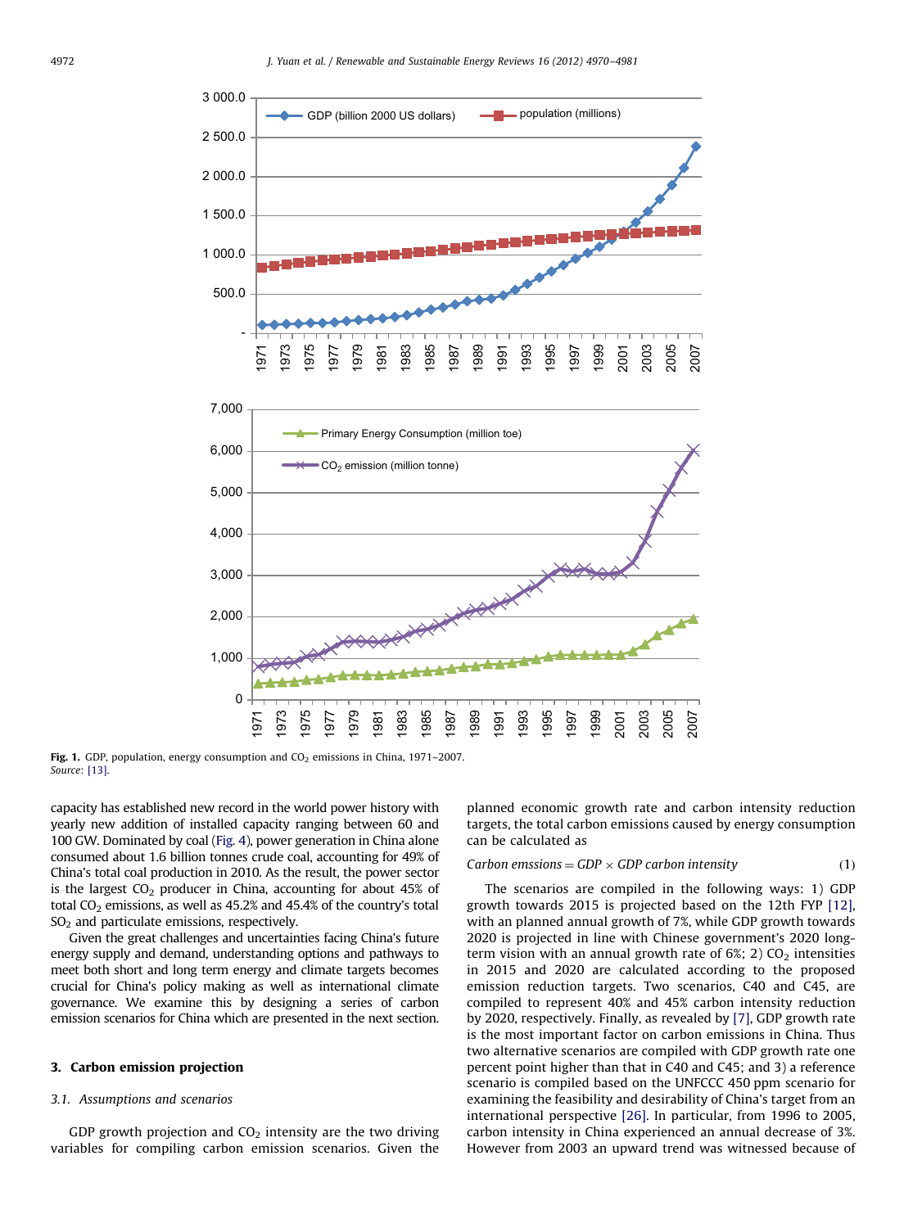<span id="page-2-0"></span>

Fig. 1. GDP, population, energy consumption and  $CO<sub>2</sub>$  emissions in China, 1971–2007. Source: [\[13\]](#page-10-0).

capacity has established new record in the world power history with yearly new addition of installed capacity ranging between 60 and 100 GW. Dominated by coal ([Fig. 4\)](#page-5-0), power generation in China alone consumed about 1.6 billion tonnes crude coal, accounting for 49% of China's total coal production in 2010. As the result, the power sector is the largest  $CO<sub>2</sub>$  producer in China, accounting for about 45% of total  $CO<sub>2</sub>$  emissions, as well as 45.2% and 45.4% of the country's total SO<sub>2</sub> and particulate emissions, respectively.

Given the great challenges and uncertainties facing China's future energy supply and demand, understanding options and pathways to meet both short and long term energy and climate targets becomes crucial for China's policy making as well as international climate governance. We examine this by designing a series of carbon emission scenarios for China which are presented in the next section.

### 3. Carbon emission projection

## 3.1. Assumptions and scenarios

GDP growth projection and  $CO<sub>2</sub>$  intensity are the two driving variables for compiling carbon emission scenarios. Given the planned economic growth rate and carbon intensity reduction targets, the total carbon emissions caused by energy consumption can be calculated as

### Carbon emssions =  $GDP \times GDP$  carbon intensity (1)

The scenarios are compiled in the following ways: 1) GDP growth towards 2015 is projected based on the 12th FYP [\[12\],](#page-10-0) with an planned annual growth of 7%, while GDP growth towards 2020 is projected in line with Chinese government's 2020 longterm vision with an annual growth rate of  $6\%$ ; 2) CO<sub>2</sub> intensities in 2015 and 2020 are calculated according to the proposed emission reduction targets. Two scenarios, C40 and C45, are compiled to represent 40% and 45% carbon intensity reduction by 2020, respectively. Finally, as revealed by [\[7\],](#page-10-0) GDP growth rate is the most important factor on carbon emissions in China. Thus two alternative scenarios are compiled with GDP growth rate one percent point higher than that in C40 and C45; and 3) a reference scenario is compiled based on the UNFCCC 450 ppm scenario for examining the feasibility and desirability of China's target from an international perspective [\[26\].](#page-11-0) In particular, from 1996 to 2005, carbon intensity in China experienced an annual decrease of 3%. However from 2003 an upward trend was witnessed because of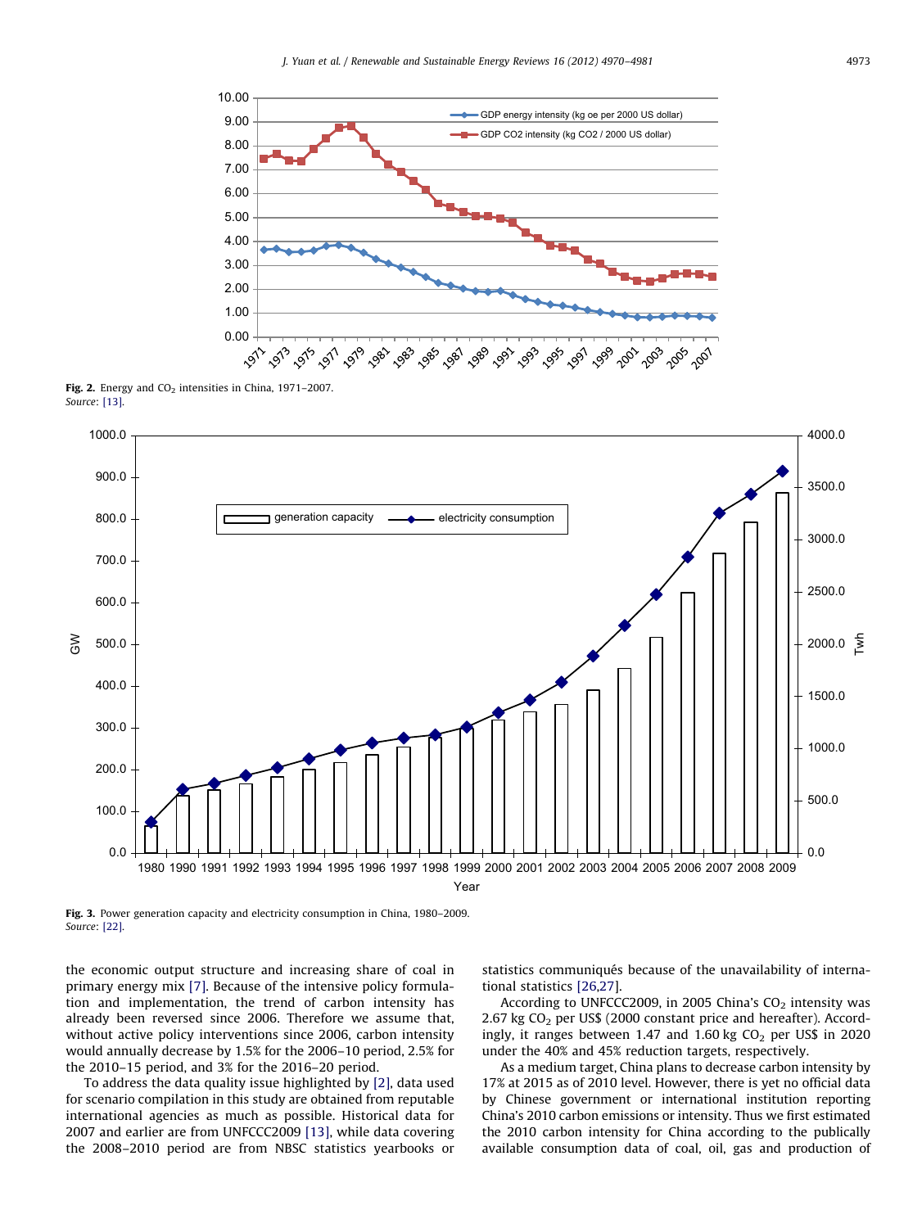<span id="page-3-0"></span>

Fig. 2. Energy and  $CO<sub>2</sub>$  intensities in China, 1971–2007. Source: [\[13\].](#page-10-0)



Fig. 3. Power generation capacity and electricity consumption in China, 1980–2009. Source: [\[22\].](#page-11-0)

the economic output structure and increasing share of coal in primary energy mix [\[7\]](#page-10-0). Because of the intensive policy formulation and implementation, the trend of carbon intensity has already been reversed since 2006. Therefore we assume that, without active policy interventions since 2006, carbon intensity would annually decrease by 1.5% for the 2006–10 period, 2.5% for the 2010–15 period, and 3% for the 2016–20 period.

To address the data quality issue highlighted by [\[2\]](#page-10-0), data used for scenario compilation in this study are obtained from reputable international agencies as much as possible. Historical data for 2007 and earlier are from UNFCCC2009 [\[13\],](#page-10-0) while data covering the 2008–2010 period are from NBSC statistics yearbooks or statistics communiqués because of the unavailability of international statistics [\[26,27](#page-11-0)].

According to UNFCCC2009, in 2005 China's  $CO<sub>2</sub>$  intensity was 2.67 kg  $CO<sub>2</sub>$  per US\$ (2000 constant price and hereafter). Accordingly, it ranges between 1.47 and 1.60 kg  $CO<sub>2</sub>$  per US\$ in 2020 under the 40% and 45% reduction targets, respectively.

As a medium target, China plans to decrease carbon intensity by 17% at 2015 as of 2010 level. However, there is yet no official data by Chinese government or international institution reporting China's 2010 carbon emissions or intensity. Thus we first estimated the 2010 carbon intensity for China according to the publically available consumption data of coal, oil, gas and production of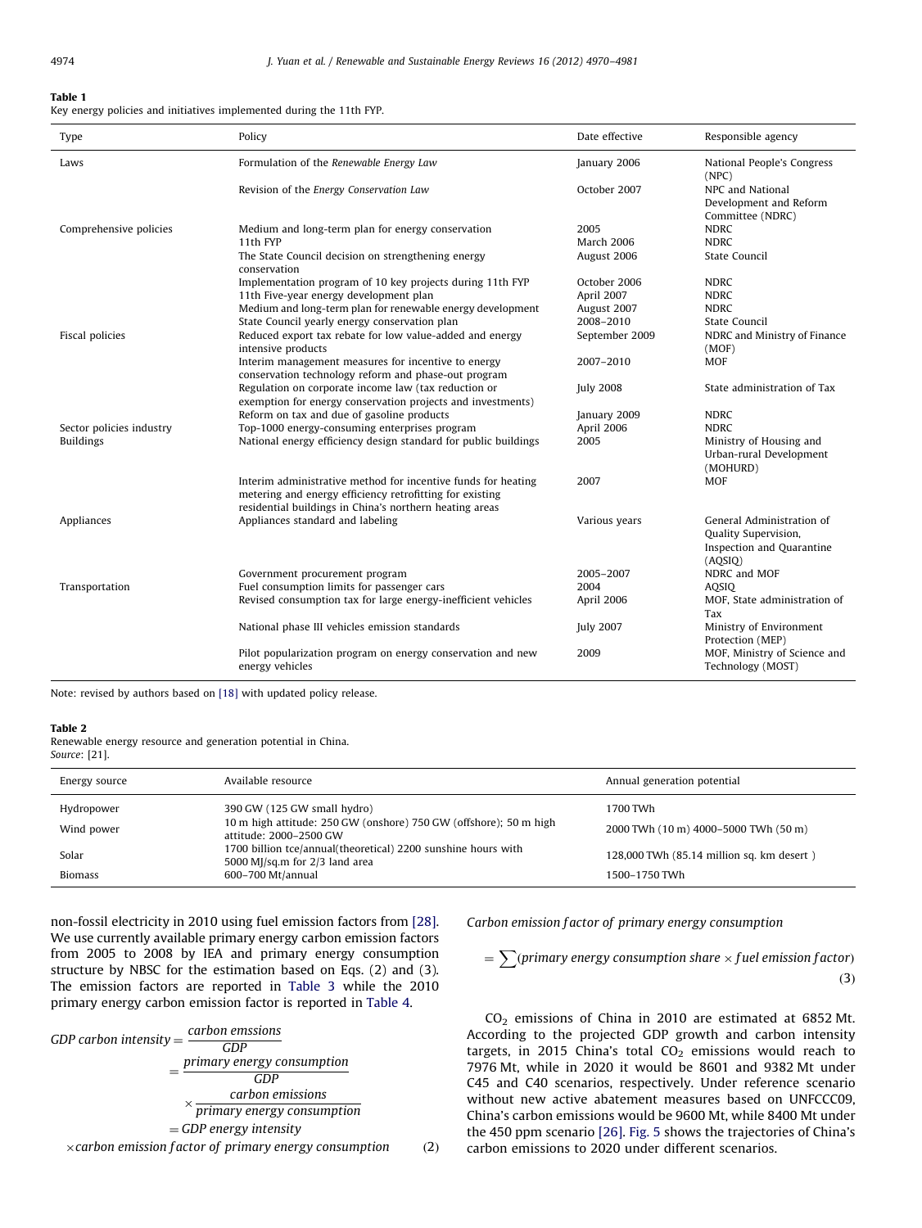<span id="page-4-0"></span>Key energy policies and initiatives implemented during the 11th FYP.

| Type                     | Policy                                                                                                                                                                               | Date effective   | Responsible agency                                                                        |
|--------------------------|--------------------------------------------------------------------------------------------------------------------------------------------------------------------------------------|------------------|-------------------------------------------------------------------------------------------|
| Laws                     | Formulation of the Renewable Energy Law                                                                                                                                              | January 2006     | National People's Congress<br>(NPC)                                                       |
|                          | Revision of the Energy Conservation Law                                                                                                                                              | October 2007     | NPC and National<br>Development and Reform<br>Committee (NDRC)                            |
| Comprehensive policies   | Medium and long-term plan for energy conservation                                                                                                                                    | 2005             | <b>NDRC</b>                                                                               |
|                          | 11th FYP                                                                                                                                                                             | March 2006       | <b>NDRC</b>                                                                               |
|                          | The State Council decision on strengthening energy<br>conservation                                                                                                                   | August 2006      | State Council                                                                             |
|                          | Implementation program of 10 key projects during 11th FYP                                                                                                                            | October 2006     | <b>NDRC</b>                                                                               |
|                          | 11th Five-year energy development plan                                                                                                                                               | April 2007       | <b>NDRC</b>                                                                               |
|                          | Medium and long-term plan for renewable energy development                                                                                                                           | August 2007      | <b>NDRC</b>                                                                               |
|                          | State Council yearly energy conservation plan                                                                                                                                        | 2008-2010        | State Council                                                                             |
| Fiscal policies          | Reduced export tax rebate for low value-added and energy<br>intensive products                                                                                                       | September 2009   | NDRC and Ministry of Finance<br>(MOF)                                                     |
|                          | Interim management measures for incentive to energy<br>conservation technology reform and phase-out program                                                                          | 2007-2010        | <b>MOF</b>                                                                                |
|                          | Regulation on corporate income law (tax reduction or<br>exemption for energy conservation projects and investments)                                                                  | <b>July 2008</b> | State administration of Tax                                                               |
|                          | Reform on tax and due of gasoline products                                                                                                                                           | January 2009     | <b>NDRC</b>                                                                               |
| Sector policies industry | Top-1000 energy-consuming enterprises program                                                                                                                                        | April 2006       | <b>NDRC</b>                                                                               |
| <b>Buildings</b>         | National energy efficiency design standard for public buildings                                                                                                                      | 2005             | Ministry of Housing and<br>Urban-rural Development<br>(MOHURD)                            |
|                          | Interim administrative method for incentive funds for heating<br>metering and energy efficiency retrofitting for existing<br>residential buildings in China's northern heating areas | 2007             | <b>MOF</b>                                                                                |
| Appliances               | Appliances standard and labeling                                                                                                                                                     | Various years    | General Administration of<br>Quality Supervision,<br>Inspection and Quarantine<br>(AQSIQ) |
|                          | Government procurement program                                                                                                                                                       | 2005-2007        | NDRC and MOF                                                                              |
| Transportation           | Fuel consumption limits for passenger cars                                                                                                                                           | 2004             | AOSIO                                                                                     |
|                          | Revised consumption tax for large energy-inefficient vehicles                                                                                                                        | April 2006       | MOF, State administration of<br>Tax                                                       |
|                          | National phase III vehicles emission standards                                                                                                                                       | <b>July 2007</b> | Ministry of Environment<br>Protection (MEP)                                               |
|                          | Pilot popularization program on energy conservation and new<br>energy vehicles                                                                                                       | 2009             | MOF, Ministry of Science and<br>Technology (MOST)                                         |

Note: revised by authors based on [\[18\]](#page-11-0) with updated policy release.

## Table 2

Renewable energy resource and generation potential in China. Source: [21].

| Energy source | Available resource                                                                                | Annual generation potential               |
|---------------|---------------------------------------------------------------------------------------------------|-------------------------------------------|
| Hydropower    | 390 GW (125 GW small hydro)                                                                       | 1700 TWh                                  |
| Wind power    | 10 m high attitude: 250 GW (onshore) 750 GW (offshore); 50 m high<br>attitude: 2000-2500 GW       | 2000 TWh (10 m) 4000-5000 TWh (50 m)      |
| Solar         | 1700 billion tce/annual(theoretical) 2200 sunshine hours with<br>5000 MJ/sq.m for $2/3$ land area | 128,000 TWh (85.14 million sq. km desert) |
| Biomass       | 600-700 Mt/annual                                                                                 | 1500-1750 TWh                             |

non-fossil electricity in 2010 using fuel emission factors from [\[28\].](#page-11-0) We use currently available primary energy carbon emission factors from 2005 to 2008 by IEA and primary energy consumption structure by NBSC for the estimation based on Eqs. (2) and (3). The emission factors are reported in [Table 3](#page-5-0) while the 2010 primary energy carbon emission factor is reported in [Table 4.](#page-5-0)



Carbon emission factor of primary energy consumption

 $=\sum (primary\ energy\ consumption\ share{x}$   $\frac{1}{x}$  and  $\frac{1}{x}$  are  $\frac{1}{x}$  fuel emission factor)  $(3)$ 

 $CO<sub>2</sub>$  emissions of China in 2010 are estimated at 6852 Mt. According to the projected GDP growth and carbon intensity targets, in 2015 China's total  $CO<sub>2</sub>$  emissions would reach to 7976 Mt, while in 2020 it would be 8601 and 9382 Mt under C45 and C40 scenarios, respectively. Under reference scenario without new active abatement measures based on UNFCCC09, China's carbon emissions would be 9600 Mt, while 8400 Mt under the 450 ppm scenario [\[26\]](#page-11-0). [Fig. 5](#page-6-0) shows the trajectories of China's carbon emissions to 2020 under different scenarios.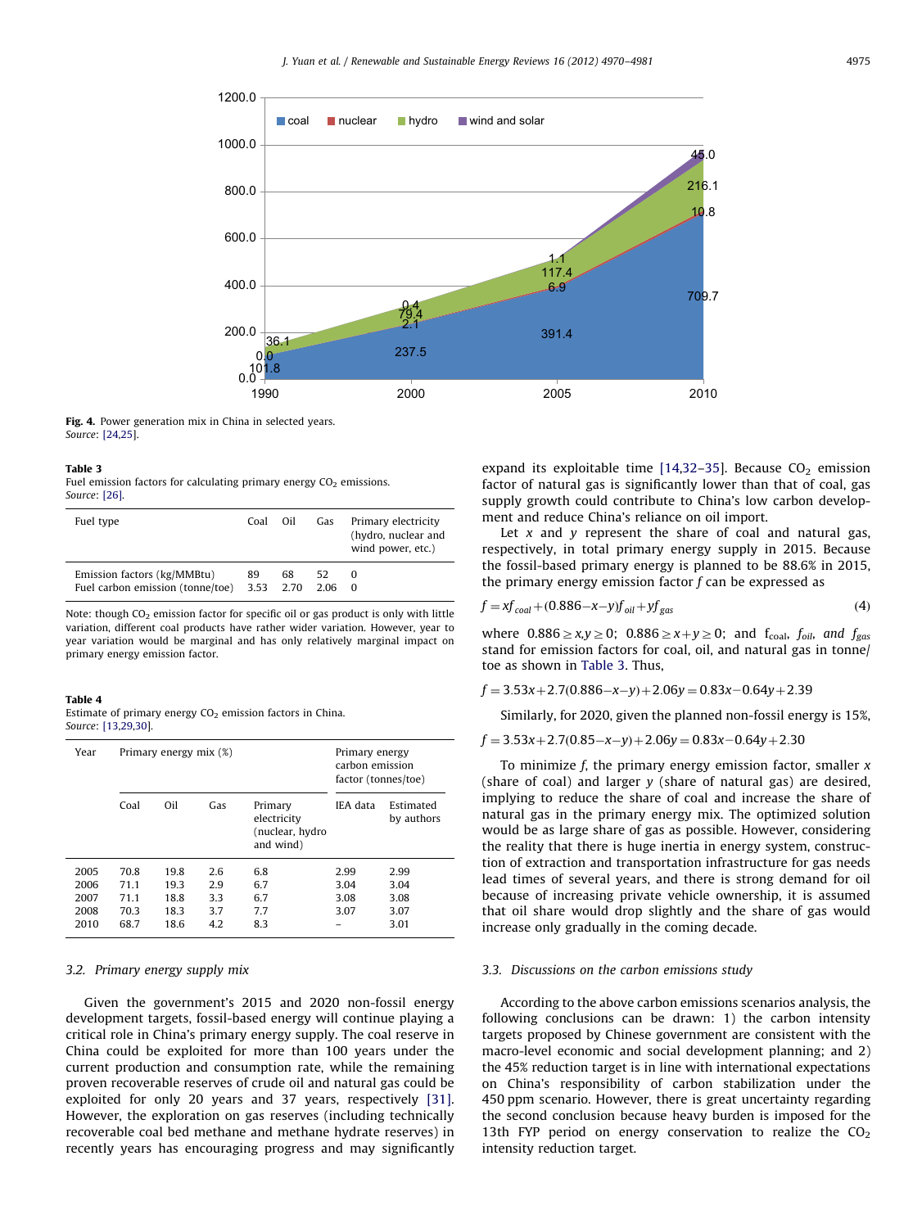<span id="page-5-0"></span>

Fig. 4. Power generation mix in China in selected years. Source: [\[24,25\]](#page-11-0).

Fuel emission factors for calculating primary energy  $CO<sub>2</sub>$  emissions. Source: [\[26\].](#page-11-0)

| Fuel type                                                                 | Coal | Oil | Gas           | Primary electricity<br>(hydro, nuclear and<br>wind power, etc.) |
|---------------------------------------------------------------------------|------|-----|---------------|-----------------------------------------------------------------|
| Emission factors (kg/MMBtu)<br>Fuel carbon emission (tonne/toe) 3.53 2.70 | 89   | 68  | 52.<br>2.06 0 | $\Omega$                                                        |

Note: though  $CO<sub>2</sub>$  emission factor for specific oil or gas product is only with little variation, different coal products have rather wider variation. However, year to year variation would be marginal and has only relatively marginal impact on primary energy emission factor.

#### Table 4

| Estimate of primary energy $CO2$ emission factors in China. |  |  |  |
|-------------------------------------------------------------|--|--|--|
| Source: [13,29,30].                                         |  |  |  |

| Year |      | Primary energy mix (%) |     |                                                        | Primary energy<br>carbon emission<br>factor (tonnes/toe) |                         |  |  |
|------|------|------------------------|-----|--------------------------------------------------------|----------------------------------------------------------|-------------------------|--|--|
|      | Coal | Oil                    | Gas | Primary<br>electricity<br>(nuclear, hydro<br>and wind) | IEA data                                                 | Estimated<br>by authors |  |  |
| 2005 | 70.8 | 19.8                   | 2.6 | 6.8                                                    | 2.99                                                     | 2.99                    |  |  |
| 2006 | 71.1 | 19.3                   | 2.9 | 6.7                                                    | 3.04                                                     | 3.04                    |  |  |
| 2007 | 71.1 | 18.8                   | 3.3 | 6.7                                                    | 3.08                                                     | 3.08                    |  |  |
| 2008 | 70.3 | 18.3                   | 3.7 | 7.7                                                    | 3.07                                                     | 3.07                    |  |  |
| 2010 | 68.7 | 18.6                   | 4.2 | 8.3                                                    |                                                          | 3.01                    |  |  |

## 3.2. Primary energy supply mix

Given the government's 2015 and 2020 non-fossil energy development targets, fossil-based energy will continue playing a critical role in China's primary energy supply. The coal reserve in China could be exploited for more than 100 years under the current production and consumption rate, while the remaining proven recoverable reserves of crude oil and natural gas could be exploited for only 20 years and 37 years, respectively [\[31\].](#page-11-0) However, the exploration on gas reserves (including technically recoverable coal bed methane and methane hydrate reserves) in recently years has encouraging progress and may significantly expand its exploitable time  $[14,32-35]$  $[14,32-35]$ . Because CO<sub>2</sub> emission factor of natural gas is significantly lower than that of coal, gas supply growth could contribute to China's low carbon development and reduce China's reliance on oil import.

Let  $x$  and  $y$  represent the share of coal and natural gas, respectively, in total primary energy supply in 2015. Because the fossil-based primary energy is planned to be 88.6% in 2015, the primary energy emission factor  $f$  can be expressed as

$$
f = xf_{coal} + (0.886 - x - y)f_{oil} + yf_{gas}
$$
\n(4)

where  $0.886 \ge x,y \ge 0$ ;  $0.886 \ge x+y \ge 0$ ; and  $f_{\text{coal}}$ ,  $f_{\text{oil}}$ , and  $f_{\text{gas}}$ stand for emission factors for coal, oil, and natural gas in tonne/ toe as shown in Table 3. Thus,

 $f = 3.53x + 2.7(0.886 - x - y) + 2.06y = 0.83x - 0.64y + 2.39$ 

Similarly, for 2020, given the planned non-fossil energy is 15%,

 $f = 3.53x + 2.7(0.85 - x - y) + 2.06y = 0.83x - 0.64y + 2.30$ 

To minimize f, the primary energy emission factor, smaller  $x$ (share of coal) and larger  $\gamma$  (share of natural gas) are desired, implying to reduce the share of coal and increase the share of natural gas in the primary energy mix. The optimized solution would be as large share of gas as possible. However, considering the reality that there is huge inertia in energy system, construction of extraction and transportation infrastructure for gas needs lead times of several years, and there is strong demand for oil because of increasing private vehicle ownership, it is assumed that oil share would drop slightly and the share of gas would increase only gradually in the coming decade.

## 3.3. Discussions on the carbon emissions study

According to the above carbon emissions scenarios analysis, the following conclusions can be drawn: 1) the carbon intensity targets proposed by Chinese government are consistent with the macro-level economic and social development planning; and 2) the 45% reduction target is in line with international expectations on China's responsibility of carbon stabilization under the 450 ppm scenario. However, there is great uncertainty regarding the second conclusion because heavy burden is imposed for the 13th FYP period on energy conservation to realize the  $CO<sub>2</sub>$ intensity reduction target.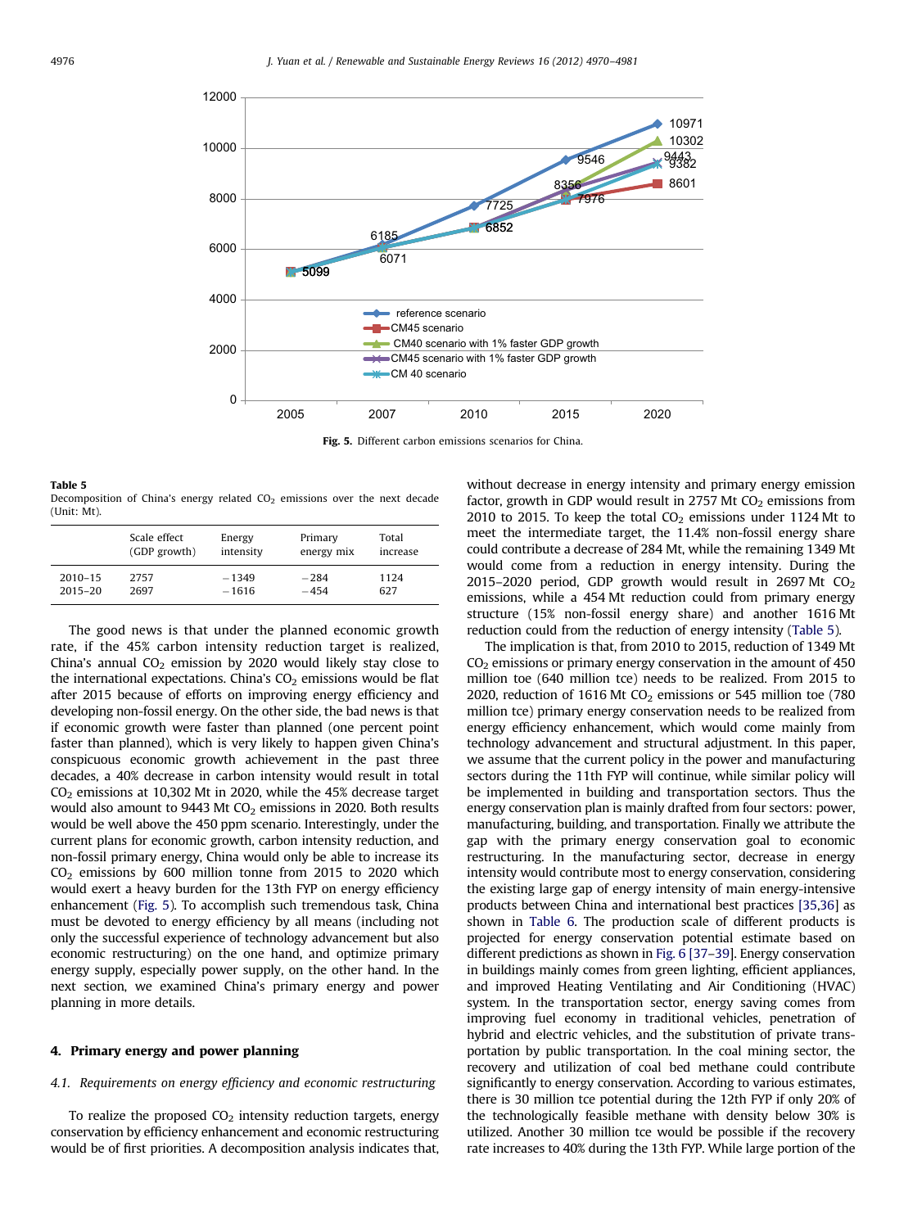<span id="page-6-0"></span>

Fig. 5. Different carbon emissions scenarios for China.

Table 5 Decomposition of China's energy related  $CO<sub>2</sub>$  emissions over the next decade (Unit: Mt).

|             | Scale effect | Energy    | Primary    | Total    |
|-------------|--------------|-----------|------------|----------|
|             | (GDP growth) | intensity | energy mix | increase |
| $2010 - 15$ | 2757         | $-1349$   | $-284$     | 1124     |
| $2015 - 20$ | 2697         | $-1616$   | $-454$     | 627      |

The good news is that under the planned economic growth rate, if the 45% carbon intensity reduction target is realized, China's annual  $CO<sub>2</sub>$  emission by 2020 would likely stay close to the international expectations. China's  $CO<sub>2</sub>$  emissions would be flat after 2015 because of efforts on improving energy efficiency and developing non-fossil energy. On the other side, the bad news is that if economic growth were faster than planned (one percent point faster than planned), which is very likely to happen given China's conspicuous economic growth achievement in the past three decades, a 40% decrease in carbon intensity would result in total  $CO<sub>2</sub>$  emissions at 10,302 Mt in 2020, while the 45% decrease target would also amount to 9443 Mt  $CO<sub>2</sub>$  emissions in 2020. Both results would be well above the 450 ppm scenario. Interestingly, under the current plans for economic growth, carbon intensity reduction, and non-fossil primary energy, China would only be able to increase its  $CO<sub>2</sub>$  emissions by 600 million tonne from 2015 to 2020 which would exert a heavy burden for the 13th FYP on energy efficiency enhancement (Fig. 5). To accomplish such tremendous task, China must be devoted to energy efficiency by all means (including not only the successful experience of technology advancement but also economic restructuring) on the one hand, and optimize primary energy supply, especially power supply, on the other hand. In the next section, we examined China's primary energy and power planning in more details.

## 4. Primary energy and power planning

#### 4.1. Requirements on energy efficiency and economic restructuring

To realize the proposed  $CO<sub>2</sub>$  intensity reduction targets, energy conservation by efficiency enhancement and economic restructuring would be of first priorities. A decomposition analysis indicates that, without decrease in energy intensity and primary energy emission factor, growth in GDP would result in 2757 Mt  $CO<sub>2</sub>$  emissions from 2010 to 2015. To keep the total  $CO<sub>2</sub>$  emissions under 1124 Mt to meet the intermediate target, the 11.4% non-fossil energy share could contribute a decrease of 284 Mt, while the remaining 1349 Mt would come from a reduction in energy intensity. During the 2015–2020 period, GDP growth would result in 2697 Mt  $CO<sub>2</sub>$ emissions, while a 454 Mt reduction could from primary energy structure (15% non-fossil energy share) and another 1616 Mt reduction could from the reduction of energy intensity (Table 5).

The implication is that, from 2010 to 2015, reduction of 1349 Mt  $CO<sub>2</sub>$  emissions or primary energy conservation in the amount of 450 million toe (640 million tce) needs to be realized. From 2015 to 2020, reduction of 1616 Mt  $CO<sub>2</sub>$  emissions or 545 million toe (780 million tce) primary energy conservation needs to be realized from energy efficiency enhancement, which would come mainly from technology advancement and structural adjustment. In this paper, we assume that the current policy in the power and manufacturing sectors during the 11th FYP will continue, while similar policy will be implemented in building and transportation sectors. Thus the energy conservation plan is mainly drafted from four sectors: power, manufacturing, building, and transportation. Finally we attribute the gap with the primary energy conservation goal to economic restructuring. In the manufacturing sector, decrease in energy intensity would contribute most to energy conservation, considering the existing large gap of energy intensity of main energy-intensive products between China and international best practices [\[35,36](#page-11-0)] as shown in [Table 6](#page-7-0). The production scale of different products is projected for energy conservation potential estimate based on different predictions as shown in [Fig. 6](#page-7-0) [\[37–39](#page-11-0)]. Energy conservation in buildings mainly comes from green lighting, efficient appliances, and improved Heating Ventilating and Air Conditioning (HVAC) system. In the transportation sector, energy saving comes from improving fuel economy in traditional vehicles, penetration of hybrid and electric vehicles, and the substitution of private transportation by public transportation. In the coal mining sector, the recovery and utilization of coal bed methane could contribute significantly to energy conservation. According to various estimates, there is 30 million tce potential during the 12th FYP if only 20% of the technologically feasible methane with density below 30% is utilized. Another 30 million tce would be possible if the recovery rate increases to 40% during the 13th FYP. While large portion of the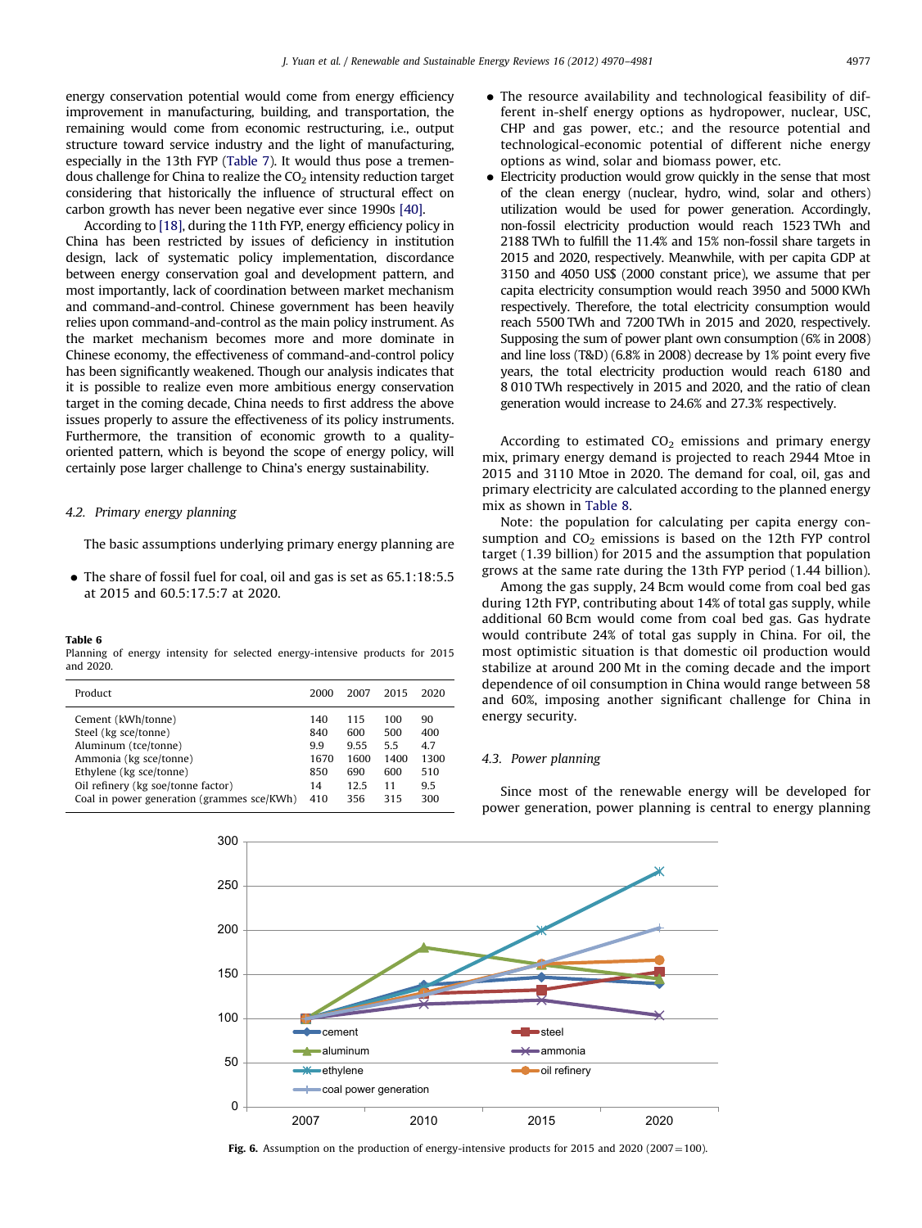<span id="page-7-0"></span>energy conservation potential would come from energy efficiency improvement in manufacturing, building, and transportation, the remaining would come from economic restructuring, i.e., output structure toward service industry and the light of manufacturing, especially in the 13th FYP ([Table 7](#page-8-0)). It would thus pose a tremendous challenge for China to realize the  $CO<sub>2</sub>$  intensity reduction target considering that historically the influence of structural effect on carbon growth has never been negative ever since 1990s [\[40\]](#page-11-0).

According to [\[18\],](#page-11-0) during the 11th FYP, energy efficiency policy in China has been restricted by issues of deficiency in institution design, lack of systematic policy implementation, discordance between energy conservation goal and development pattern, and most importantly, lack of coordination between market mechanism and command-and-control. Chinese government has been heavily relies upon command-and-control as the main policy instrument. As the market mechanism becomes more and more dominate in Chinese economy, the effectiveness of command-and-control policy has been significantly weakened. Though our analysis indicates that it is possible to realize even more ambitious energy conservation target in the coming decade, China needs to first address the above issues properly to assure the effectiveness of its policy instruments. Furthermore, the transition of economic growth to a qualityoriented pattern, which is beyond the scope of energy policy, will certainly pose larger challenge to China's energy sustainability.

## 4.2. Primary energy planning

The basic assumptions underlying primary energy planning are

• The share of fossil fuel for coal, oil and gas is set as 65.1:18:5.5 at 2015 and 60.5:17.5:7 at 2020.

#### Table 6

Planning of energy intensity for selected energy-intensive products for 2015 and 2020.

| Cement (kWh/tonne)<br>140<br>115<br>Steel (kg sce/tonne)<br>840<br>600<br>Aluminum (tce/tonne)<br>9.9<br>9.55<br>Ammonia (kg sce/tonne)<br>1670<br>1600<br>Ethylene (kg sce/tonne)<br>850<br>690<br>Oil refinery (kg soe/tonne factor)<br>12.5<br>14<br>Coal in power generation (grammes sce/KWh)<br>410<br>356 | 100<br>500<br>5.5<br>1400<br>600<br>11<br>315 | 90<br>400<br>4.7<br>1300<br>510<br>9.5<br>300 |
|------------------------------------------------------------------------------------------------------------------------------------------------------------------------------------------------------------------------------------------------------------------------------------------------------------------|-----------------------------------------------|-----------------------------------------------|

- The resource availability and technological feasibility of different in-shelf energy options as hydropower, nuclear, USC, CHP and gas power, etc.; and the resource potential and technological-economic potential of different niche energy options as wind, solar and biomass power, etc.
- Electricity production would grow quickly in the sense that most of the clean energy (nuclear, hydro, wind, solar and others) utilization would be used for power generation. Accordingly, non-fossil electricity production would reach 1523 TWh and 2188 TWh to fulfill the 11.4% and 15% non-fossil share targets in 2015 and 2020, respectively. Meanwhile, with per capita GDP at 3150 and 4050 US\$ (2000 constant price), we assume that per capita electricity consumption would reach 3950 and 5000 KWh respectively. Therefore, the total electricity consumption would reach 5500 TWh and 7200 TWh in 2015 and 2020, respectively. Supposing the sum of power plant own consumption (6% in 2008) and line loss (T&D) (6.8% in 2008) decrease by 1% point every five years, the total electricity production would reach 6180 and 8 010 TWh respectively in 2015 and 2020, and the ratio of clean generation would increase to 24.6% and 27.3% respectively.

According to estimated  $CO<sub>2</sub>$  emissions and primary energy mix, primary energy demand is projected to reach 2944 Mtoe in 2015 and 3110 Mtoe in 2020. The demand for coal, oil, gas and primary electricity are calculated according to the planned energy mix as shown in [Table 8.](#page-8-0)

Note: the population for calculating per capita energy consumption and  $CO<sub>2</sub>$  emissions is based on the 12th FYP control target (1.39 billion) for 2015 and the assumption that population grows at the same rate during the 13th FYP period (1.44 billion).

Among the gas supply, 24 Bcm would come from coal bed gas during 12th FYP, contributing about 14% of total gas supply, while additional 60 Bcm would come from coal bed gas. Gas hydrate would contribute 24% of total gas supply in China. For oil, the most optimistic situation is that domestic oil production would stabilize at around 200 Mt in the coming decade and the import dependence of oil consumption in China would range between 58 and 60%, imposing another significant challenge for China in energy security.

## 4.3. Power planning

Since most of the renewable energy will be developed for power generation, power planning is central to energy planning



Fig. 6. Assumption on the production of energy-intensive products for 2015 and 2020 (2007 = 100).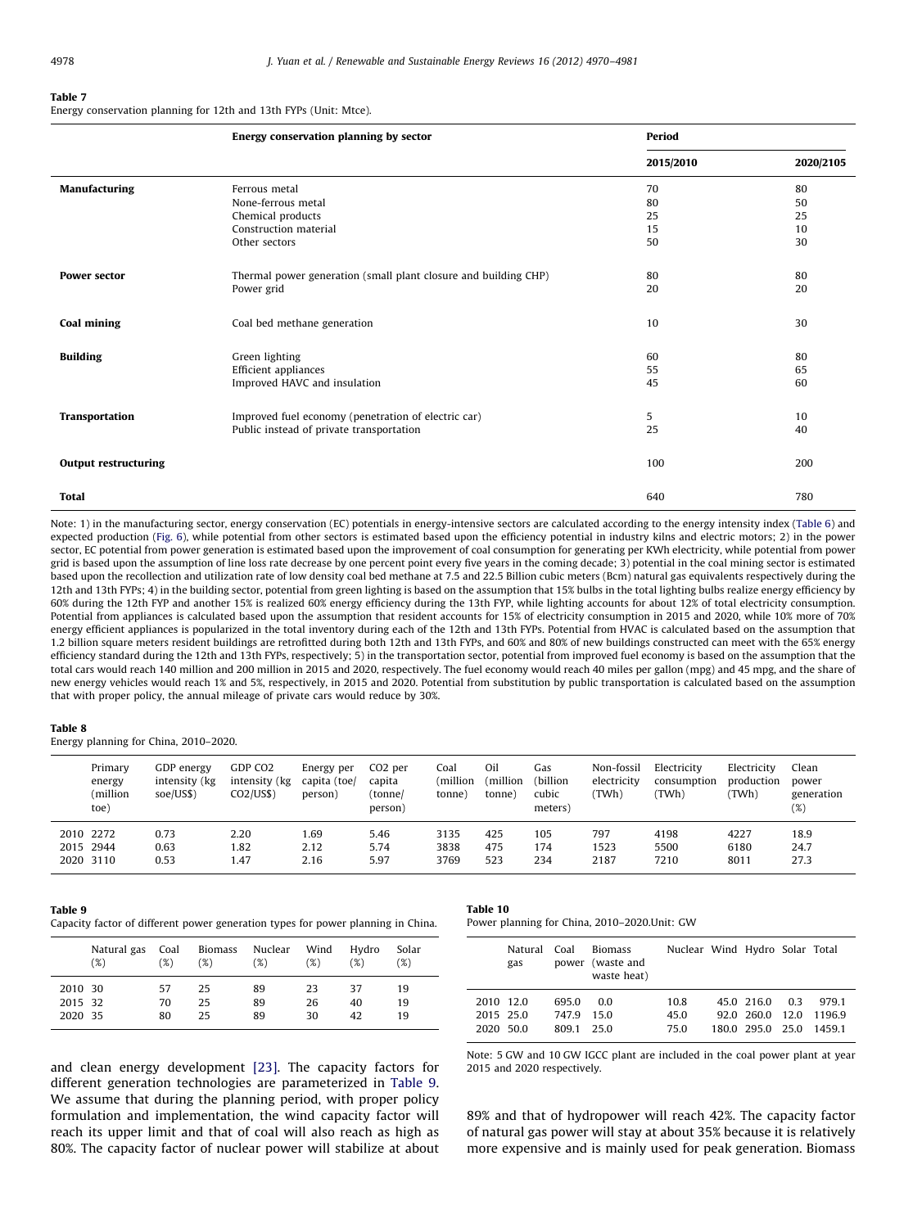<span id="page-8-0"></span>Energy conservation planning for 12th and 13th FYPs (Unit: Mtce).

|                             | Energy conservation planning by sector                          | Period    |           |
|-----------------------------|-----------------------------------------------------------------|-----------|-----------|
|                             |                                                                 | 2015/2010 | 2020/2105 |
| Manufacturing               | Ferrous metal                                                   | 70        | 80        |
|                             | None-ferrous metal                                              | 80        | 50        |
|                             | Chemical products                                               | 25        | 25        |
|                             | Construction material                                           | 15        | 10        |
|                             | Other sectors                                                   | 50        | 30        |
| <b>Power sector</b>         | Thermal power generation (small plant closure and building CHP) | 80        | 80        |
|                             | Power grid                                                      | 20        | 20        |
| <b>Coal mining</b>          | Coal bed methane generation                                     | 10        | 30        |
|                             |                                                                 |           |           |
| <b>Building</b>             | Green lighting                                                  | 60        | 80        |
|                             | Efficient appliances                                            | 55        | 65        |
|                             | Improved HAVC and insulation                                    | 45        | 60        |
| <b>Transportation</b>       | Improved fuel economy (penetration of electric car)             | 5         | 10        |
|                             | Public instead of private transportation                        | 25        | 40        |
| <b>Output restructuring</b> |                                                                 | 100       | 200       |
| <b>Total</b>                |                                                                 | 640       | 780       |

Note: 1) in the manufacturing sector, energy conservation (EC) potentials in energy-intensive sectors are calculated according to the energy intensity index ([Table 6\)](#page-7-0) and expected production [\(Fig. 6\)](#page-7-0), while potential from other sectors is estimated based upon the efficiency potential in industry kilns and electric motors; 2) in the power sector, EC potential from power generation is estimated based upon the improvement of coal consumption for generating per KWh electricity, while potential from power grid is based upon the assumption of line loss rate decrease by one percent point every five years in the coming decade; 3) potential in the coal mining sector is estimated based upon the recollection and utilization rate of low density coal bed methane at 7.5 and 22.5 Billion cubic meters (Bcm) natural gas equivalents respectively during the 12th and 13th FYPs; 4) in the building sector, potential from green lighting is based on the assumption that 15% bulbs in the total lighting bulbs realize energy efficiency by 60% during the 12th FYP and another 15% is realized 60% energy efficiency during the 13th FYP, while lighting accounts for about 12% of total electricity consumption. Potential from appliances is calculated based upon the assumption that resident accounts for 15% of electricity consumption in 2015 and 2020, while 10% more of 70% energy efficient appliances is popularized in the total inventory during each of the 12th and 13th FYPs. Potential from HVAC is calculated based on the assumption that 1.2 billion square meters resident buildings are retrofitted during both 12th and 13th FYPs, and 60% and 80% of new buildings constructed can meet with the 65% energy efficiency standard during the 12th and 13th FYPs, respectively; 5) in the transportation sector, potential from improved fuel economy is based on the assumption that the total cars would reach 140 million and 200 million in 2015 and 2020, respectively. The fuel economy would reach 40 miles per gallon (mpg) and 45 mpg, and the share of new energy vehicles would reach 1% and 5%, respectively, in 2015 and 2020. Potential from substitution by public transportation is calculated based on the assumption that with proper policy, the annual mileage of private cars would reduce by 30%.

#### Table 8

Energy planning for China, 2010–2020.

| Primary<br>energy<br>million)<br>toe) | GDP energy<br>intensity (kg)<br>soe/US\$) | GDP CO2<br>intensity (kg)<br>CO2/US\$ | Energy per<br>capita (toe/<br>person) | CO <sub>2</sub> per<br>capita<br>(tonne/<br>person) | Coal<br>million)<br>tonne) | Oil<br>million)<br>tonne) | Gas<br>(billion<br>cubic<br>meters) | Non-fossil<br>electricity<br>(TWh | Electricity<br>consumption<br>(TWh | Electricity<br>production<br>(TWh) | Clean<br>power<br>generation<br>(%) |
|---------------------------------------|-------------------------------------------|---------------------------------------|---------------------------------------|-----------------------------------------------------|----------------------------|---------------------------|-------------------------------------|-----------------------------------|------------------------------------|------------------------------------|-------------------------------------|
| 2010 2272                             | 0.73                                      | 2.20                                  | 1.69                                  | 5.46                                                | 3135                       | 425                       | 105                                 | 797                               | 4198                               | 4227                               | 18.9                                |
| 2015 2944<br>2020 3110                | 0.63<br>0.53                              | 1.82<br>1.47                          | 2.12<br>2.16                          | 5.74<br>5.97                                        | 3838<br>3769               | 475<br>523                | 174<br>234                          | 1523<br>2187                      | 5500<br>7210                       | 6180<br>8011                       | 24.7<br>27.3                        |
|                                       |                                           |                                       |                                       |                                                     |                            |                           |                                     |                                   |                                    |                                    |                                     |

#### Table 9

Capacity factor of different power generation types for power planning in China.

|         | Natural gas | Coal | Biomass | Nuclear | Wind | Hydro | Solar |
|---------|-------------|------|---------|---------|------|-------|-------|
|         | (%)         | (%)  | (%)     | (%)     | (%)  | (%)   | (%)   |
| 2010 30 |             | 57   | 25      | 89      | 23   | 37    | 19    |
| 2015 32 |             | 70   | 25      | 89      | 26   | 40    | 19    |
| 2020 35 |             | 80   | 25      | 89      | 30   | 42    | 19    |

Table 10 Power planning for China, 2010–2020.Unit: GW

|                                     | Natural<br>gas | Coal                    | Biomass<br>power (waste and<br>waste heat) | Nuclear Wind Hydro Solar Total |                                       |                       |                        |
|-------------------------------------|----------------|-------------------------|--------------------------------------------|--------------------------------|---------------------------------------|-----------------------|------------------------|
| 2010 12.0<br>2015 25.0<br>2020 50.0 |                | 695.0<br>747.9<br>809.1 | 0.0<br>15.0<br>25.0                        | 10.8<br>45.0<br>75.0           | 45.0 216.0<br>920 2600<br>180.0 295.0 | 0 3<br>12.0<br>- 25.0 | 9791<br>11969<br>14591 |

and clean energy development [\[23\]](#page-11-0). The capacity factors for different generation technologies are parameterized in Table 9. We assume that during the planning period, with proper policy formulation and implementation, the wind capacity factor will reach its upper limit and that of coal will also reach as high as 80%. The capacity factor of nuclear power will stabilize at about

Note: 5 GW and 10 GW IGCC plant are included in the coal power plant at year 2015 and 2020 respectively.

89% and that of hydropower will reach 42%. The capacity factor of natural gas power will stay at about 35% because it is relatively more expensive and is mainly used for peak generation. Biomass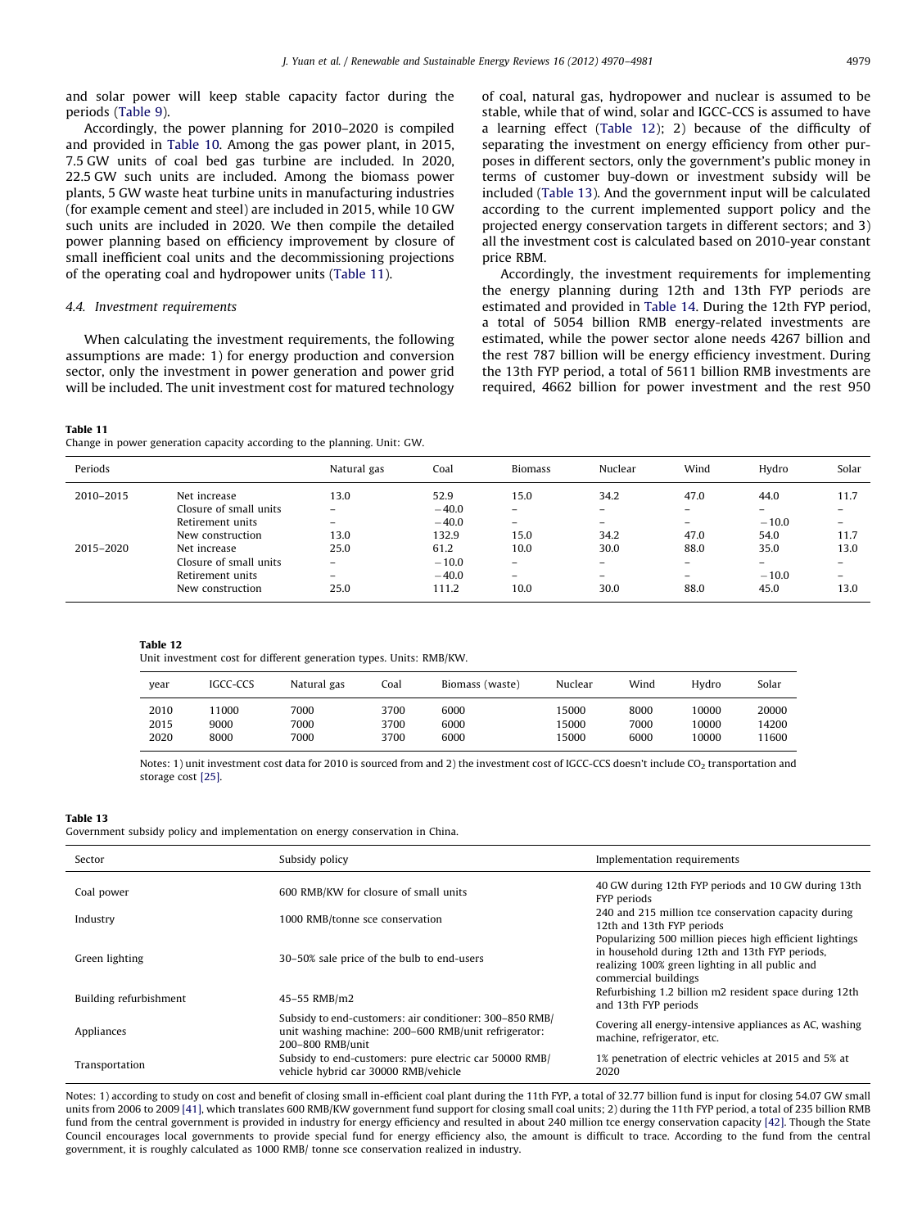and solar power will keep stable capacity factor during the periods ([Table 9\)](#page-8-0).

Accordingly, the power planning for 2010–2020 is compiled and provided in [Table 10.](#page-8-0) Among the gas power plant, in 2015, 7.5 GW units of coal bed gas turbine are included. In 2020, 22.5 GW such units are included. Among the biomass power plants, 5 GW waste heat turbine units in manufacturing industries (for example cement and steel) are included in 2015, while 10 GW such units are included in 2020. We then compile the detailed power planning based on efficiency improvement by closure of small inefficient coal units and the decommissioning projections of the operating coal and hydropower units (Table 11).

## 4.4. Investment requirements

When calculating the investment requirements, the following assumptions are made: 1) for energy production and conversion sector, only the investment in power generation and power grid will be included. The unit investment cost for matured technology

#### Table 11

Change in power generation capacity according to the planning. Unit: GW.

of coal, natural gas, hydropower and nuclear is assumed to be stable, while that of wind, solar and IGCC-CCS is assumed to have a learning effect (Table 12); 2) because of the difficulty of separating the investment on energy efficiency from other purposes in different sectors, only the government's public money in terms of customer buy-down or investment subsidy will be included (Table 13). And the government input will be calculated according to the current implemented support policy and the projected energy conservation targets in different sectors; and 3) all the investment cost is calculated based on 2010-year constant price RBM.

Accordingly, the investment requirements for implementing the energy planning during 12th and 13th FYP periods are estimated and provided in [Table 14.](#page-10-0) During the 12th FYP period, a total of 5054 billion RMB energy-related investments are estimated, while the power sector alone needs 4267 billion and the rest 787 billion will be energy efficiency investment. During the 13th FYP period, a total of 5611 billion RMB investments are required, 4662 billion for power investment and the rest 950

| Periods   |                        | Natural gas              | Coal    | <b>Biomass</b>           | Nuclear                  | Wind                     | Hydro                    | Solar |
|-----------|------------------------|--------------------------|---------|--------------------------|--------------------------|--------------------------|--------------------------|-------|
| 2010-2015 | Net increase           | 13.0                     | 52.9    | 15.0                     | 34.2                     | 47.0                     | 44.0                     | 11.7  |
|           | Closure of small units | $\overline{\phantom{0}}$ | $-40.0$ |                          |                          | -                        | $\overline{\phantom{a}}$ |       |
|           | Retirement units       | $\equiv$                 | $-40.0$ | $\overline{\phantom{m}}$ | $-$                      | $\equiv$                 | $-10.0$                  | -     |
|           | New construction       | 13.0                     | 132.9   | 15.0                     | 34.2                     | 47.0                     | 54.0                     | 11.7  |
| 2015-2020 | Net increase           | 25.0                     | 61.2    | 10.0                     | 30.0                     | 88.0                     | 35.0                     | 13.0  |
|           | Closure of small units | -                        | $-10.0$ | $\overline{\phantom{0}}$ | $\overline{\phantom{0}}$ | $-$                      | $\overline{\phantom{m}}$ |       |
|           | Retirement units       | -                        | $-40.0$ |                          | $\overline{\phantom{0}}$ | $\overline{\phantom{0}}$ | $-10.0$                  | -     |
|           | New construction       | 25.0                     | 111.2   | 10.0                     | 30.0                     | 88.0                     | 45.0                     | 13.0  |

#### Table 12

Unit investment cost for different generation types. Units: RMB/KW.

| vear | IGCC-CCS | Natural gas | Coal | Biomass (waste) | Nuclear | Wind | Hvdro | Solar |
|------|----------|-------------|------|-----------------|---------|------|-------|-------|
| 2010 | 1000     | 7000        | 3700 | 6000            | 15000   | 8000 | 10000 | 20000 |
| 2015 | 9000     | 7000        | 3700 | 6000            | 15000   | 7000 | 10000 | 14200 |
| 2020 | 8000     | 7000        | 3700 | 6000            | 15000   | 6000 | 10000 | 11600 |

Notes: 1) unit investment cost data for 2010 is sourced from and 2) the investment cost of IGCC-CCS doesn't include CO<sub>2</sub> transportation and storage cost [\[25\]](#page-11-0).

#### Table 13

Government subsidy policy and implementation on energy conservation in China.

| Sector                 | Subsidy policy                                                                                                                      | Implementation requirements                                                                                                                                                           |
|------------------------|-------------------------------------------------------------------------------------------------------------------------------------|---------------------------------------------------------------------------------------------------------------------------------------------------------------------------------------|
| Coal power             | 600 RMB/KW for closure of small units                                                                                               | 40 GW during 12th FYP periods and 10 GW during 13th<br>FYP periods                                                                                                                    |
| Industry               | 1000 RMB/tonne sce conservation                                                                                                     | 240 and 215 million tce conservation capacity during<br>12th and 13th FYP periods                                                                                                     |
| Green lighting         | 30–50% sale price of the bulb to end-users                                                                                          | Popularizing 500 million pieces high efficient lightings<br>in household during 12th and 13th FYP periods,<br>realizing 100% green lighting in all public and<br>commercial buildings |
| Building refurbishment | 45-55 RMB/m2                                                                                                                        | Refurbishing 1.2 billion m2 resident space during 12th<br>and 13th FYP periods                                                                                                        |
| Appliances             | Subsidy to end-customers: air conditioner: 300-850 RMB/<br>unit washing machine: 200–600 RMB/unit refrigerator:<br>200-800 RMB/unit | Covering all energy-intensive appliances as AC, washing<br>machine, refrigerator, etc.                                                                                                |
| Transportation         | Subsidy to end-customers: pure electric car 50000 RMB/<br>vehicle hybrid car 30000 RMB/vehicle                                      | 1% penetration of electric vehicles at 2015 and 5% at<br>2020                                                                                                                         |

Notes: 1) according to study on cost and benefit of closing small in-efficient coal plant during the 11th FYP, a total of 32.77 billion fund is input for closing 54.07 GW small units from 2006 to 2009 [\[41\]](#page-11-0), which translates 600 RMB/KW government fund support for closing small coal units; 2) during the 11th FYP period, a total of 235 billion RMB fund from the central government is provided in industry for energy efficiency and resulted in about 240 million tce energy conservation capacity [\[42\].](#page-11-0) Though the State Council encourages local governments to provide special fund for energy efficiency also, the amount is difficult to trace. According to the fund from the central government, it is roughly calculated as 1000 RMB/ tonne sce conservation realized in industry.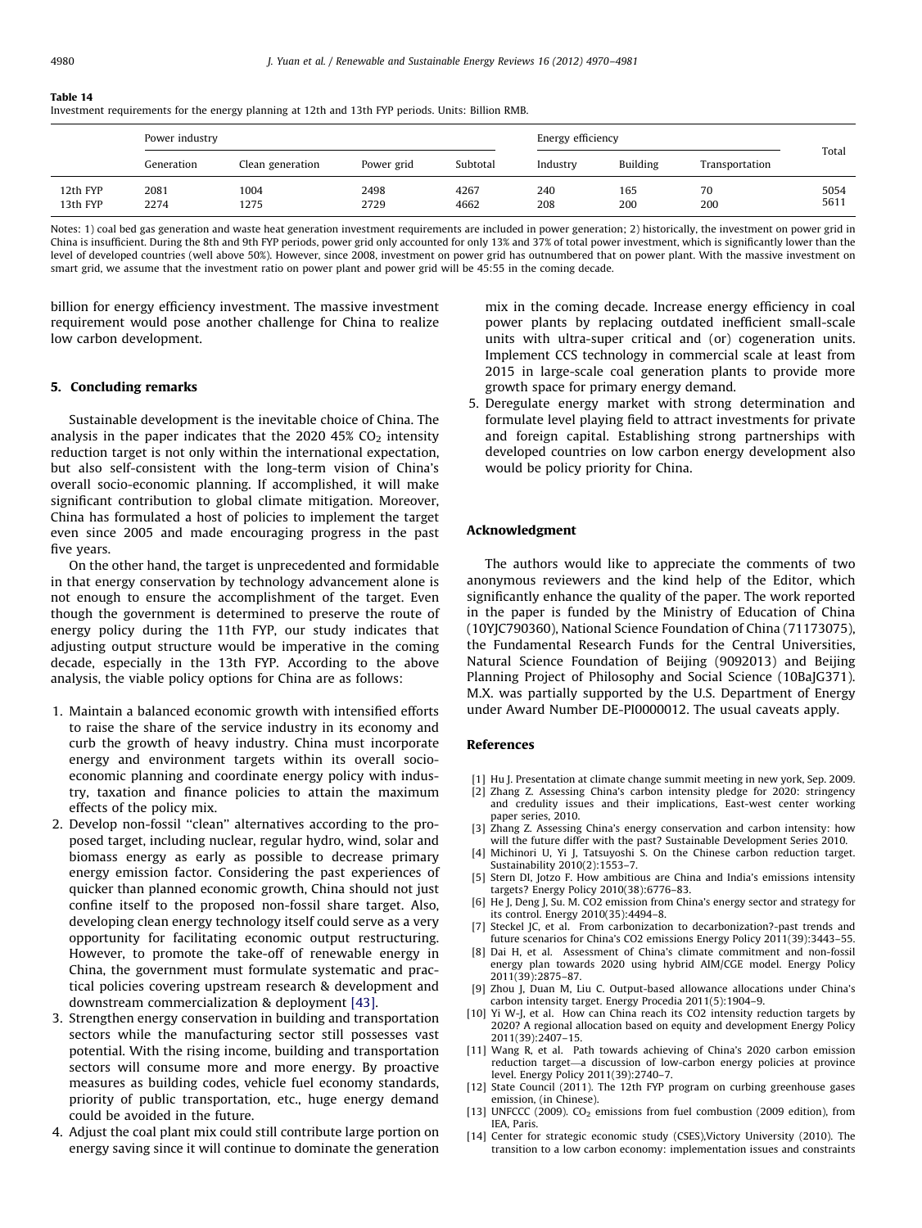<span id="page-10-0"></span>Investment requirements for the energy planning at 12th and 13th FYP periods. Units: Billion RMB.

|                      | Power industry |                  |              | Energy efficiency |            |                 |                |              |
|----------------------|----------------|------------------|--------------|-------------------|------------|-----------------|----------------|--------------|
|                      | Generation     | Clean generation | Power grid   | Subtotal          | Industry   | <b>Building</b> | Transportation | Total        |
| 12th FYP<br>13th FYP | 2081<br>2274   | 1004<br>1275     | 2498<br>2729 | 4267<br>4662      | 240<br>208 | 165<br>200      | 70<br>200      | 5054<br>5611 |

Notes: 1) coal bed gas generation and waste heat generation investment requirements are included in power generation; 2) historically, the investment on power grid in China is insufficient. During the 8th and 9th FYP periods, power grid only accounted for only 13% and 37% of total power investment, which is significantly lower than the level of developed countries (well above 50%). However, since 2008, investment on power grid has outnumbered that on power plant. With the massive investment on smart grid, we assume that the investment ratio on power plant and power grid will be 45:55 in the coming decade.

billion for energy efficiency investment. The massive investment requirement would pose another challenge for China to realize low carbon development.

#### 5. Concluding remarks

Sustainable development is the inevitable choice of China. The analysis in the paper indicates that the 2020 45%  $CO<sub>2</sub>$  intensity reduction target is not only within the international expectation, but also self-consistent with the long-term vision of China's overall socio-economic planning. If accomplished, it will make significant contribution to global climate mitigation. Moreover, China has formulated a host of policies to implement the target even since 2005 and made encouraging progress in the past five years.

On the other hand, the target is unprecedented and formidable in that energy conservation by technology advancement alone is not enough to ensure the accomplishment of the target. Even though the government is determined to preserve the route of energy policy during the 11th FYP, our study indicates that adjusting output structure would be imperative in the coming decade, especially in the 13th FYP. According to the above analysis, the viable policy options for China are as follows:

- 1. Maintain a balanced economic growth with intensified efforts to raise the share of the service industry in its economy and curb the growth of heavy industry. China must incorporate energy and environment targets within its overall socioeconomic planning and coordinate energy policy with industry, taxation and finance policies to attain the maximum effects of the policy mix.
- 2. Develop non-fossil ''clean'' alternatives according to the proposed target, including nuclear, regular hydro, wind, solar and biomass energy as early as possible to decrease primary energy emission factor. Considering the past experiences of quicker than planned economic growth, China should not just confine itself to the proposed non-fossil share target. Also, developing clean energy technology itself could serve as a very opportunity for facilitating economic output restructuring. However, to promote the take-off of renewable energy in China, the government must formulate systematic and practical policies covering upstream research & development and downstream commercialization & deployment [\[43\]](#page-11-0).
- 3. Strengthen energy conservation in building and transportation sectors while the manufacturing sector still possesses vast potential. With the rising income, building and transportation sectors will consume more and more energy. By proactive measures as building codes, vehicle fuel economy standards, priority of public transportation, etc., huge energy demand could be avoided in the future.
- 4. Adjust the coal plant mix could still contribute large portion on energy saving since it will continue to dominate the generation

mix in the coming decade. Increase energy efficiency in coal power plants by replacing outdated inefficient small-scale units with ultra-super critical and (or) cogeneration units. Implement CCS technology in commercial scale at least from 2015 in large-scale coal generation plants to provide more growth space for primary energy demand.

5. Deregulate energy market with strong determination and formulate level playing field to attract investments for private and foreign capital. Establishing strong partnerships with developed countries on low carbon energy development also would be policy priority for China.

## Acknowledgment

The authors would like to appreciate the comments of two anonymous reviewers and the kind help of the Editor, which significantly enhance the quality of the paper. The work reported in the paper is funded by the Ministry of Education of China (10YJC790360), National Science Foundation of China (71173075), the Fundamental Research Funds for the Central Universities, Natural Science Foundation of Beijing (9092013) and Beijing Planning Project of Philosophy and Social Science (10BaJG371). M.X. was partially supported by the U.S. Department of Energy under Award Number DE-PI0000012. The usual caveats apply.

## References

- [1] Hu J. Presentation at climate change summit meeting in new york, Sep. 2009. [2] Zhang Z. Assessing China's carbon intensity pledge for 2020: stringency
- and credulity issues and their implications, East-west center working paper series, 2010.
- [3] Zhang Z. Assessing China's energy conservation and carbon intensity: how will the future differ with the past? Sustainable Development Series 2010.
- [4] Michinori U, Yi J, Tatsuyoshi S. On the Chinese carbon reduction target. Sustainability 2010(2):1553–7.
- [5] Stern DI, Jotzo F. How ambitious are China and India's emissions intensity targets? Energy Policy 2010(38):6776–83.
- [6] He J, Deng J, Su. M. CO2 emission from China's energy sector and strategy for its control. Energy 2010(35):4494–8.
- Steckel JC, et al. From carbonization to decarbonization?-past trends and future scenarios for China's CO2 emissions Energy Policy 2011(39):3443–55.
- [8] Dai H, et al. Assessment of China's climate commitment and non-fossil energy plan towards 2020 using hybrid AIM/CGE model. Energy Policy 2011(39):2875–87.
- [9] Zhou J, Duan M, Liu C. Output-based allowance allocations under China's carbon intensity target. Energy Procedia 2011(5):1904–9.
- [10] Yi W-J, et al. How can China reach its CO2 intensity reduction targets by 2020? A regional allocation based on equity and development Energy Policy 2011(39):2407–15.
- [11] Wang R, et al. Path towards achieving of China's 2020 carbon emission reduction target—a discussion of low-carbon energy policies at province level. Energy Policy 2011(39):2740–7.
- [12] State Council (2011). The 12th FYP program on curbing greenhouse gases emission, (in Chinese).
- [13] UNFCCC (2009).  $CO<sub>2</sub>$  emissions from fuel combustion (2009 edition), from IEA, Paris.
- [14] Center for strategic economic study (CSES), Victory University (2010). The transition to a low carbon economy: implementation issues and constraints